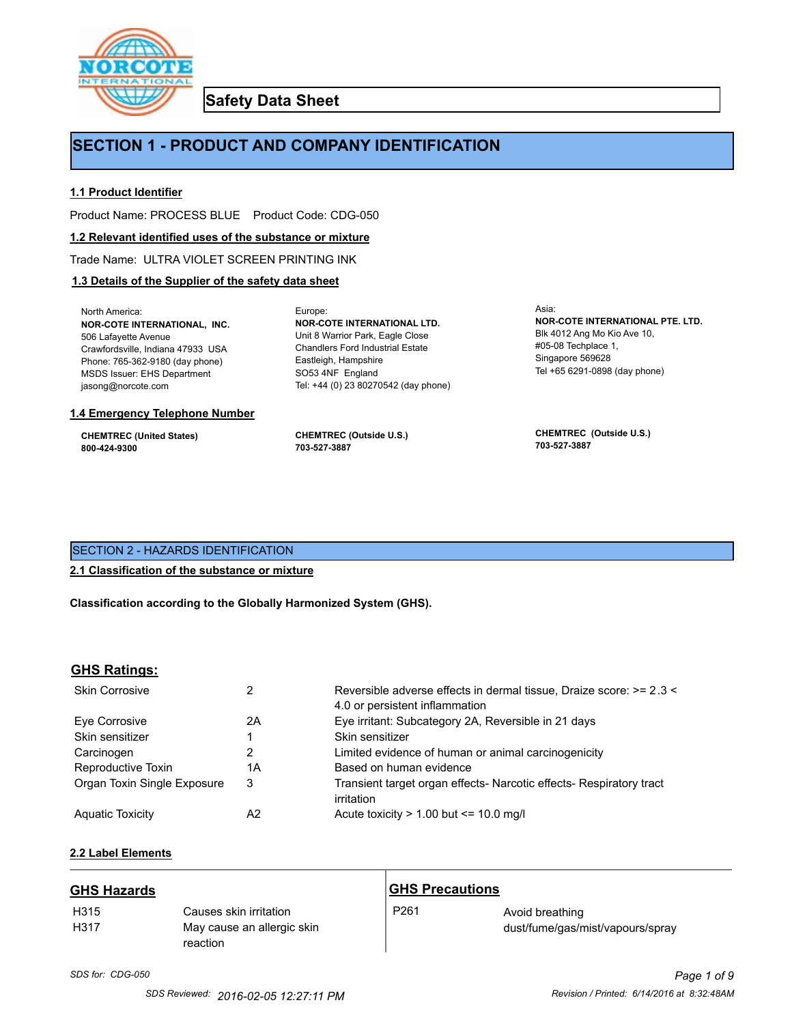

**Safety Data Sheet**

## **SECTION 1 - PRODUCT AND COMPANY IDENTIFICATION**

Europe:

## **1.1 Product Identifier**

Product Name: PROCESS BLUE Product Code: CDG-050

#### **1.2 Relevant identified uses of the substance or mixture**

Trade Name: ULTRA VIOLET SCREEN PRINTING INK

## **1.3 Details of the Supplier of the safety data sheet**

North America: **NOR-COTE INTERNATIONAL, INC.** 506 Lafayette Avenue Crawfordsville, Indiana 47933 USA Phone: 765-362-9180 (day phone) MSDS Issuer: EHS Department jasong@norcote.com

#### **1.4 Emergency Telephone Number**

**CHEMTREC (United States) 800-424-9300**

**CHEMTREC (Outside U.S.) 703-527-3887**

Eastleigh, Hampshire SO53 4NF England

**NOR-COTE INTERNATIONAL LTD.** Unit 8 Warrior Park, Eagle Close Chandlers Ford Industrial Estate

Tel: +44 (0) 23 80270542 (day phone)

Asia: **NOR-COTE INTERNATIONAL PTE. LTD.** Blk 4012 Ang Mo Kio Ave 10, #05-08 Techplace 1, Singapore 569628 Tel +65 6291-0898 (day phone)

**CHEMTREC (Outside U.S.) 703-527-3887**

## SECTION 2 - HAZARDS IDENTIFICATION

#### **2.1 Classification of the substance or mixture**

**Classification according to the Globally Harmonized System (GHS).**

#### **GHS Ratings:**

| <b>Skin Corrosive</b>       | 2  | Reversible adverse effects in dermal tissue, Draize score: >= 2.3 <<br>4.0 or persistent inflammation |
|-----------------------------|----|-------------------------------------------------------------------------------------------------------|
| Eve Corrosive               | 2A | Eye irritant: Subcategory 2A, Reversible in 21 days                                                   |
| Skin sensitizer             |    | Skin sensitizer                                                                                       |
| Carcinogen                  |    | Limited evidence of human or animal carcinogenicity                                                   |
| Reproductive Toxin          | 1A | Based on human evidence                                                                               |
| Organ Toxin Single Exposure | 3  | Transient target organ effects- Narcotic effects- Respiratory tract<br>irritation                     |
| <b>Aguatic Toxicity</b>     | A2 | Acute toxicity $> 1.00$ but $\leq 10.0$ mg/l                                                          |

## **2.2 Label Elements**

| <b>GHS Hazards</b> |                                                                  | <b>GHS Precautions</b> |                                                     |
|--------------------|------------------------------------------------------------------|------------------------|-----------------------------------------------------|
| H315<br>H317       | Causes skin irritation<br>May cause an allergic skin<br>reaction | P <sub>261</sub>       | Avoid breathing<br>dust/fume/gas/mist/vapours/spray |

# *SDS for: CDG-050 Page 1 of 9*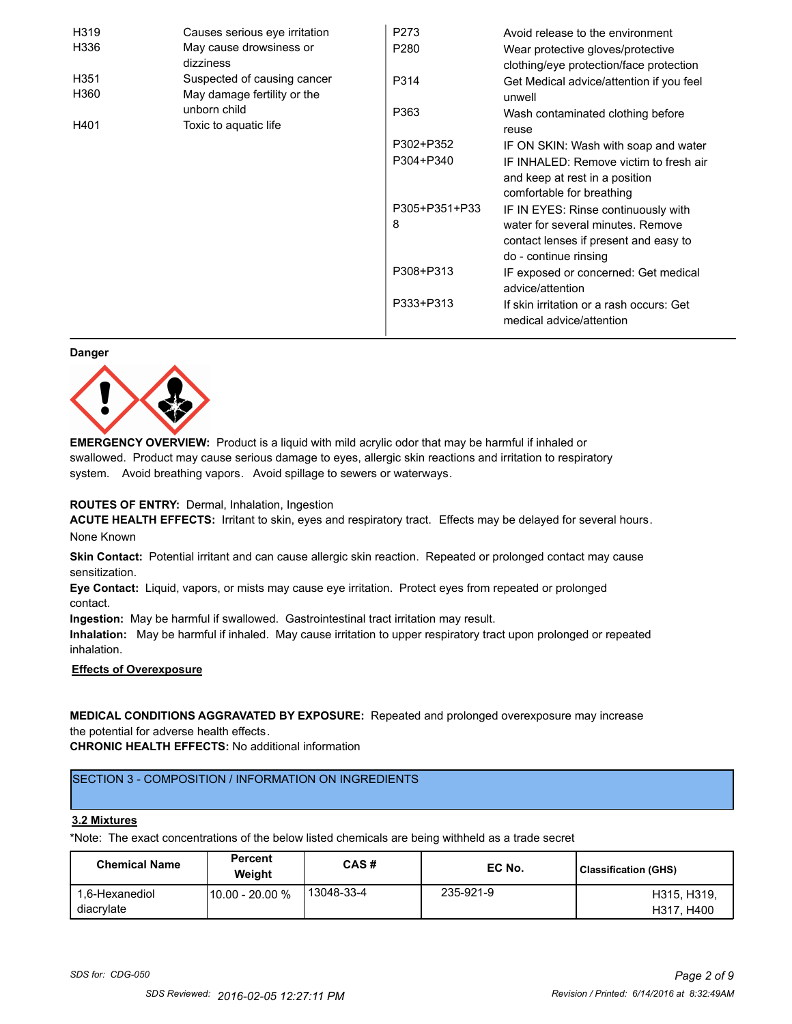| H319             | Causes serious eye irritation | P273             | Avoid release to the environment         |
|------------------|-------------------------------|------------------|------------------------------------------|
| H336             | May cause drowsiness or       | P <sub>280</sub> | Wear protective gloves/protective        |
|                  | dizziness                     |                  | clothing/eye protection/face protection  |
| H <sub>351</sub> | Suspected of causing cancer   | P314             | Get Medical advice/attention if you feel |
| H360             | May damage fertility or the   |                  | unwell                                   |
|                  | unborn child                  | P363             | Wash contaminated clothing before        |
| H401             | Toxic to aquatic life         |                  | reuse                                    |
|                  |                               | P302+P352        | IF ON SKIN: Wash with soap and water     |
|                  |                               | P304+P340        | IF INHALED: Remove victim to fresh air   |
|                  |                               |                  | and keep at rest in a position           |
|                  |                               |                  | comfortable for breathing                |
|                  |                               | P305+P351+P33    | IF IN EYES: Rinse continuously with      |
|                  |                               | 8                | water for several minutes. Remove        |
|                  |                               |                  | contact lenses if present and easy to    |
|                  |                               |                  | do - continue rinsing                    |
|                  |                               | P308+P313        | IF exposed or concerned: Get medical     |
|                  |                               |                  | advice/attention                         |
|                  |                               | P333+P313        | If skin irritation or a rash occurs: Get |
|                  |                               |                  | medical advice/attention                 |

#### **Danger**



**EMERGENCY OVERVIEW:** Product is a liquid with mild acrylic odor that may be harmful if inhaled or swallowed. Product may cause serious damage to eyes, allergic skin reactions and irritation to respiratory system. Avoid breathing vapors. Avoid spillage to sewers or waterways.

#### **ROUTES OF ENTRY:** Dermal, Inhalation, Ingestion

**ACUTE HEALTH EFFECTS:** Irritant to skin, eyes and respiratory tract. Effects may be delayed for several hours. None Known

**Skin Contact:** Potential irritant and can cause allergic skin reaction. Repeated or prolonged contact may cause sensitization.

**Eye Contact:** Liquid, vapors, or mists may cause eye irritation. Protect eyes from repeated or prolonged contact.

**Ingestion:** May be harmful if swallowed. Gastrointestinal tract irritation may result.

**Inhalation:** May be harmful if inhaled. May cause irritation to upper respiratory tract upon prolonged or repeated inhalation.

## **Effects of Overexposure**

## **MEDICAL CONDITIONS AGGRAVATED BY EXPOSURE:** Repeated and prolonged overexposure may increase the potential for adverse health effects.

**CHRONIC HEALTH EFFECTS:** No additional information

## SECTION 3 - COMPOSITION / INFORMATION ON INGREDIENTS

#### **3.2 Mixtures**

\*Note: The exact concentrations of the below listed chemicals are being withheld as a trade secret

| <b>Chemical Name</b>         | <b>Percent</b><br>Weiaht | CAS#       | EC No.    | Classification (GHS)      |
|------------------------------|--------------------------|------------|-----------|---------------------------|
| 1.6-Hexanediol<br>diacrylate | 10.00 - 20.00 %          | 13048-33-4 | 235-921-9 | H315, H319.<br>H317, H400 |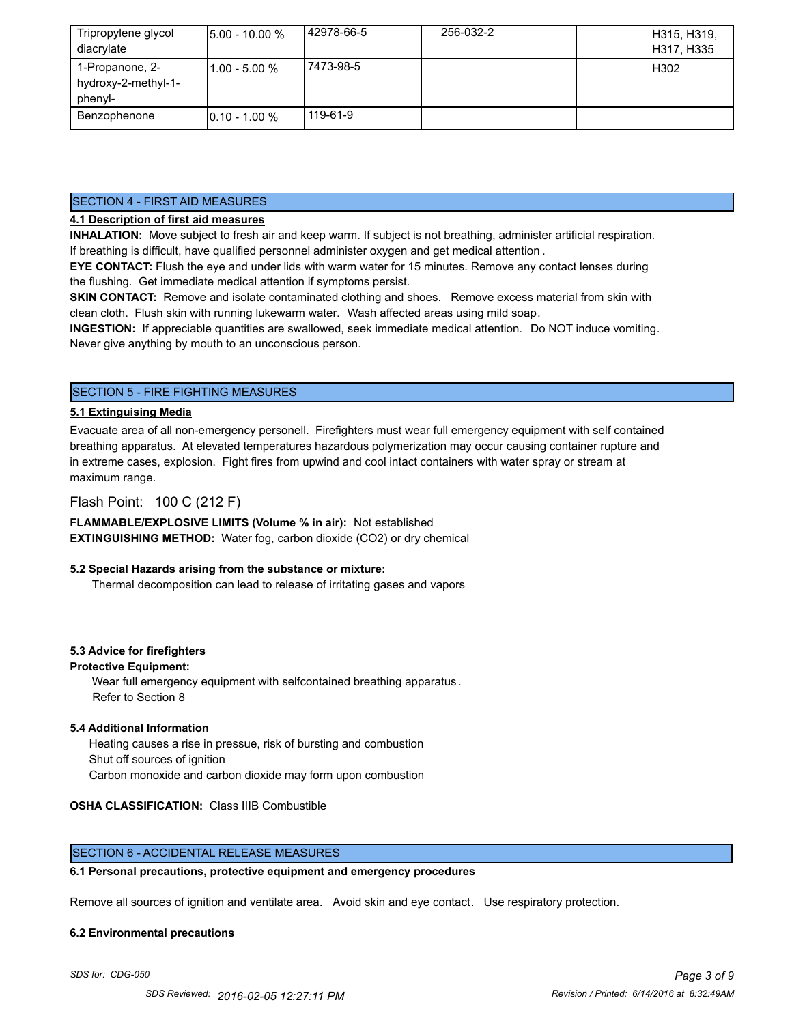| Tripropylene glycol<br>diacrylate                 | $15.00 - 10.00 %$ | 42978-66-5 | 256-032-2 | H315, H319,<br>H317, H335 |
|---------------------------------------------------|-------------------|------------|-----------|---------------------------|
| 1-Propanone, 2-<br>hydroxy-2-methyl-1-<br>phenyl- | l1.00 - 5.00 %    | 7473-98-5  |           | H302                      |
| Benzophenone                                      | $10.10 - 1.00 %$  | 119-61-9   |           |                           |

#### SECTION 4 - FIRST AID MEASURES

## **4.1 Description of first aid measures**

**INHALATION:** Move subject to fresh air and keep warm. If subject is not breathing, administer artificial respiration. If breathing is difficult, have qualified personnel administer oxygen and get medical attention .

**EYE CONTACT:** Flush the eye and under lids with warm water for 15 minutes. Remove any contact lenses during the flushing. Get immediate medical attention if symptoms persist.

**SKIN CONTACT:** Remove and isolate contaminated clothing and shoes. Remove excess material from skin with clean cloth. Flush skin with running lukewarm water. Wash affected areas using mild soap.

**INGESTION:** If appreciable quantities are swallowed, seek immediate medical attention. Do NOT induce vomiting. Never give anything by mouth to an unconscious person.

## SECTION 5 - FIRE FIGHTING MEASURES

#### **5.1 Extinguising Media**

Evacuate area of all non-emergency personell. Firefighters must wear full emergency equipment with self contained breathing apparatus. At elevated temperatures hazardous polymerization may occur causing container rupture and in extreme cases, explosion. Fight fires from upwind and cool intact containers with water spray or stream at maximum range.

## Flash Point: 100 C (212 F)

**FLAMMABLE/EXPLOSIVE LIMITS (Volume % in air):** Not established **EXTINGUISHING METHOD:** Water fog, carbon dioxide (CO2) or dry chemical

#### **5.2 Special Hazards arising from the substance or mixture:**

Thermal decomposition can lead to release of irritating gases and vapors

#### **5.3 Advice for firefighters**

#### **Protective Equipment:**

Wear full emergency equipment with selfcontained breathing apparatus . Refer to Section 8

#### **5.4 Additional Information**

 Heating causes a rise in pressue, risk of bursting and combustion Shut off sources of ignition Carbon monoxide and carbon dioxide may form upon combustion

#### **OSHA CLASSIFICATION:** Class IIIB Combustible

## SECTION 6 - ACCIDENTAL RELEASE MEASURES

#### **6.1 Personal precautions, protective equipment and emergency procedures**

Remove all sources of ignition and ventilate area. Avoid skin and eye contact. Use respiratory protection.

#### **6.2 Environmental precautions**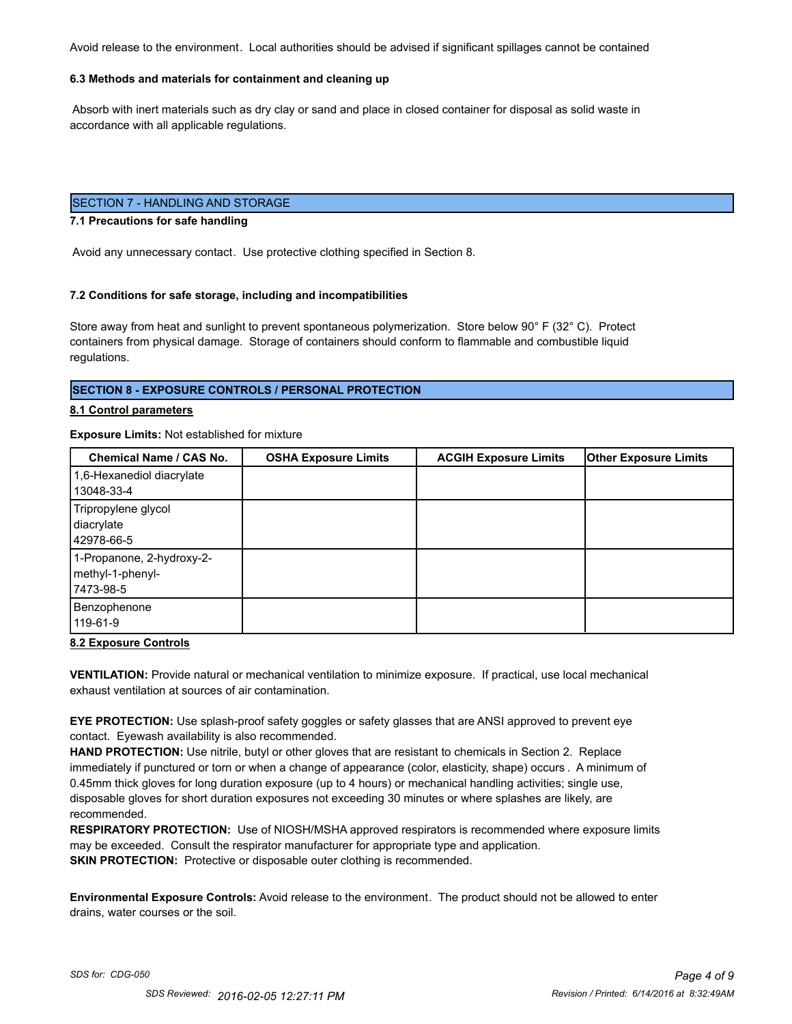Avoid release to the environment. Local authorities should be advised if significant spillages cannot be contained

#### **6.3 Methods and materials for containment and cleaning up**

 Absorb with inert materials such as dry clay or sand and place in closed container for disposal as solid waste in accordance with all applicable regulations.

## SECTION 7 - HANDLING AND STORAGE

#### **7.1 Precautions for safe handling**

Avoid any unnecessary contact. Use protective clothing specified in Section 8.

#### **7.2 Conditions for safe storage, including and incompatibilities**

Store away from heat and sunlight to prevent spontaneous polymerization. Store below 90° F (32° C). Protect containers from physical damage. Storage of containers should conform to flammable and combustible liquid regulations.

#### **SECTION 8 - EXPOSURE CONTROLS / PERSONAL PROTECTION**

#### **8.1 Control parameters**

#### **Exposure Limits:** Not established for mixture

| Chemical Name / CAS No.   | <b>OSHA Exposure Limits</b> | <b>ACGIH Exposure Limits</b> | <b>Other Exposure Limits</b> |
|---------------------------|-----------------------------|------------------------------|------------------------------|
| 1,6-Hexanediol diacrylate |                             |                              |                              |
| 13048-33-4                |                             |                              |                              |
| Tripropylene glycol       |                             |                              |                              |
| diacrylate                |                             |                              |                              |
| 42978-66-5                |                             |                              |                              |
| 1-Propanone, 2-hydroxy-2- |                             |                              |                              |
| methyl-1-phenyl-          |                             |                              |                              |
| 17473-98-5                |                             |                              |                              |
| Benzophenone              |                             |                              |                              |
| 119-61-9                  |                             |                              |                              |

#### **8.2 Exposure Controls**

**VENTILATION:** Provide natural or mechanical ventilation to minimize exposure. If practical, use local mechanical exhaust ventilation at sources of air contamination.

**EYE PROTECTION:** Use splash-proof safety goggles or safety glasses that are ANSI approved to prevent eye contact. Eyewash availability is also recommended.

**HAND PROTECTION:** Use nitrile, butyl or other gloves that are resistant to chemicals in Section 2. Replace immediately if punctured or torn or when a change of appearance (color, elasticity, shape) occurs . A minimum of 0.45mm thick gloves for long duration exposure (up to 4 hours) or mechanical handling activities; single use, disposable gloves for short duration exposures not exceeding 30 minutes or where splashes are likely, are recommended.

**RESPIRATORY PROTECTION:** Use of NIOSH/MSHA approved respirators is recommended where exposure limits may be exceeded. Consult the respirator manufacturer for appropriate type and application. **SKIN PROTECTION:** Protective or disposable outer clothing is recommended.

**Environmental Exposure Controls:** Avoid release to the environment. The product should not be allowed to enter drains, water courses or the soil.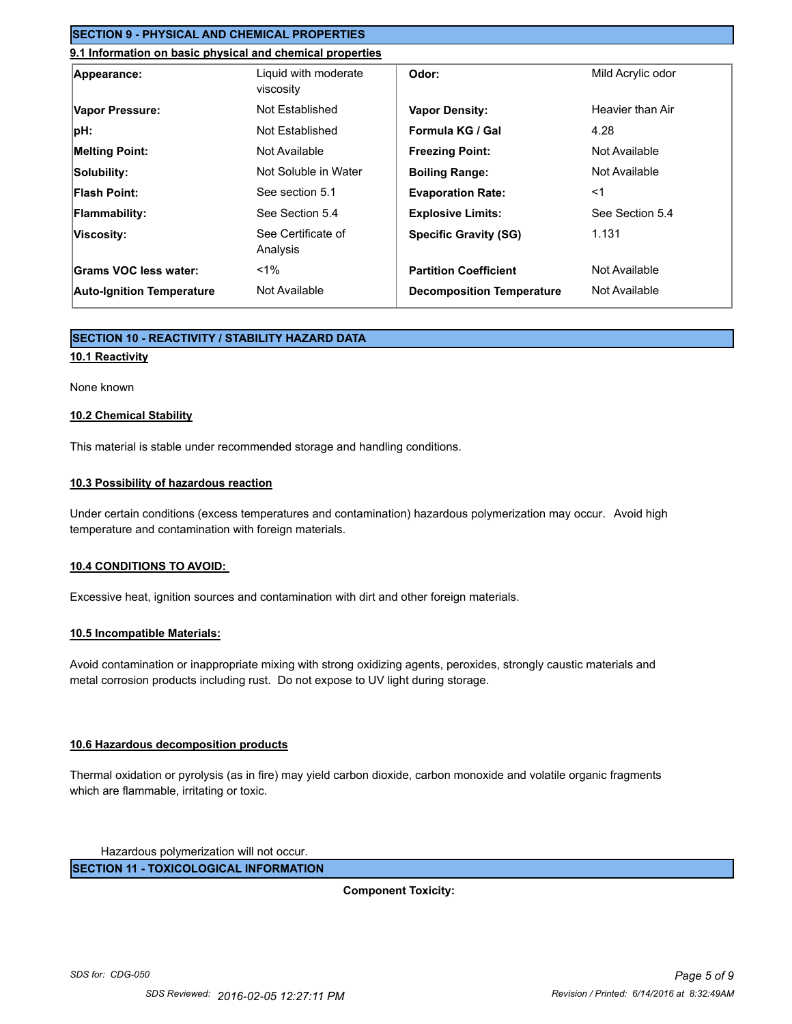## **SECTION 9 - PHYSICAL AND CHEMICAL PROPERTIES**

## **9.1 Information on basic physical and chemical properties**

| Appearance:                      | Liquid with moderate<br>viscosity | Odor:                            | Mild Acrylic odor |
|----------------------------------|-----------------------------------|----------------------------------|-------------------|
| Vapor Pressure:                  | Not Established                   | <b>Vapor Density:</b>            | Heavier than Air  |
| pH:                              | Not Established                   | Formula KG / Gal                 | 4.28              |
| <b>Melting Point:</b>            | Not Available                     | <b>Freezing Point:</b>           | Not Available     |
| Solubility:                      | Not Soluble in Water              | <b>Boiling Range:</b>            | Not Available     |
| <b>Flash Point:</b>              | See section 5.1                   | <b>Evaporation Rate:</b>         | $<$ 1             |
| <b>Flammability:</b>             | See Section 5.4                   | <b>Explosive Limits:</b>         | See Section 5.4   |
| Viscosity:                       | See Certificate of<br>Analysis    | <b>Specific Gravity (SG)</b>     | 1.131             |
| Grams VOC less water:            | $< 1\%$                           | <b>Partition Coefficient</b>     | Not Available     |
| <b>Auto-Ignition Temperature</b> | Not Available                     | <b>Decomposition Temperature</b> | Not Available     |

## **SECTION 10 - REACTIVITY / STABILITY HAZARD DATA**

#### **10.1 Reactivity**

#### None known

#### **10.2 Chemical Stability**

This material is stable under recommended storage and handling conditions.

#### **10.3 Possibility of hazardous reaction**

Under certain conditions (excess temperatures and contamination) hazardous polymerization may occur. Avoid high temperature and contamination with foreign materials.

#### **10.4 CONDITIONS TO AVOID:**

Excessive heat, ignition sources and contamination with dirt and other foreign materials.

#### **10.5 Incompatible Materials:**

Avoid contamination or inappropriate mixing with strong oxidizing agents, peroxides, strongly caustic materials and metal corrosion products including rust. Do not expose to UV light during storage.

#### **10.6 Hazardous decomposition products**

Thermal oxidation or pyrolysis (as in fire) may yield carbon dioxide, carbon monoxide and volatile organic fragments which are flammable, irritating or toxic.

Hazardous polymerization will not occur.

**SECTION 11 - TOXICOLOGICAL INFORMATION**

**Component Toxicity:**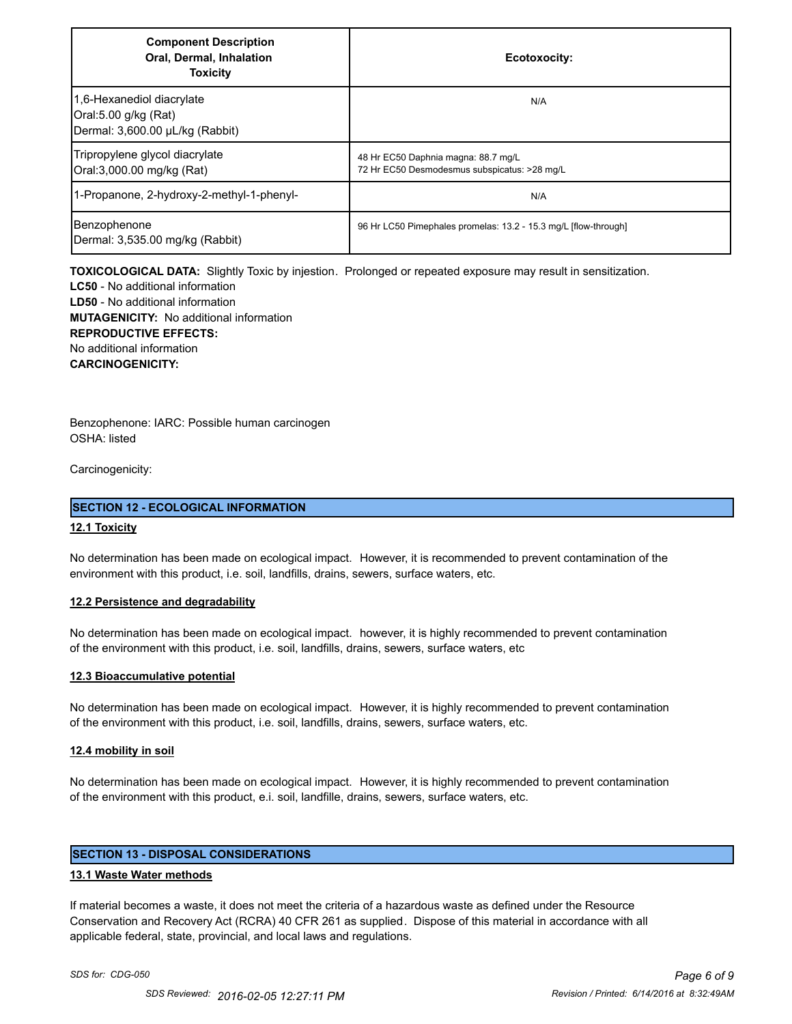| <b>Component Description</b><br>Oral, Dermal, Inhalation<br><b>Toxicity</b>          | Ecotoxocity:                                                                        |
|--------------------------------------------------------------------------------------|-------------------------------------------------------------------------------------|
| 1,6-Hexanediol diacrylate<br>Oral:5.00 g/kg (Rat)<br>Dermal: 3,600.00 µL/kg (Rabbit) | N/A                                                                                 |
| Tripropylene glycol diacrylate<br>Oral:3,000.00 mg/kg (Rat)                          | 48 Hr EC50 Daphnia magna: 88.7 mg/L<br>72 Hr EC50 Desmodesmus subspicatus: >28 mg/L |
| 1-Propanone, 2-hydroxy-2-methyl-1-phenyl-                                            | N/A                                                                                 |
| Benzophenone<br>Dermal: 3,535.00 mg/kg (Rabbit)                                      | 96 Hr LC50 Pimephales promelas: 13.2 - 15.3 mg/L [flow-through]                     |

**TOXICOLOGICAL DATA:** Slightly Toxic by injestion. Prolonged or repeated exposure may result in sensitization.

**LC50** - No additional information **LD50** - No additional information **MUTAGENICITY:** No additional information **REPRODUCTIVE EFFECTS:** No additional information **CARCINOGENICITY:**

Benzophenone: IARC: Possible human carcinogen OSHA: listed

Carcinogenicity:

#### **SECTION 12 - ECOLOGICAL INFORMATION**

#### **12.1 Toxicity**

No determination has been made on ecological impact. However, it is recommended to prevent contamination of the environment with this product, i.e. soil, landfills, drains, sewers, surface waters, etc.

#### **12.2 Persistence and degradability**

No determination has been made on ecological impact. however, it is highly recommended to prevent contamination of the environment with this product, i.e. soil, landfills, drains, sewers, surface waters, etc

#### **12.3 Bioaccumulative potential**

No determination has been made on ecological impact. However, it is highly recommended to prevent contamination of the environment with this product, i.e. soil, landfills, drains, sewers, surface waters, etc.

#### **12.4 mobility in soil**

No determination has been made on ecological impact. However, it is highly recommended to prevent contamination of the environment with this product, e.i. soil, landfille, drains, sewers, surface waters, etc.

## **SECTION 13 - DISPOSAL CONSIDERATIONS**

#### **13.1 Waste Water methods**

If material becomes a waste, it does not meet the criteria of a hazardous waste as defined under the Resource Conservation and Recovery Act (RCRA) 40 CFR 261 as supplied. Dispose of this material in accordance with all applicable federal, state, provincial, and local laws and regulations.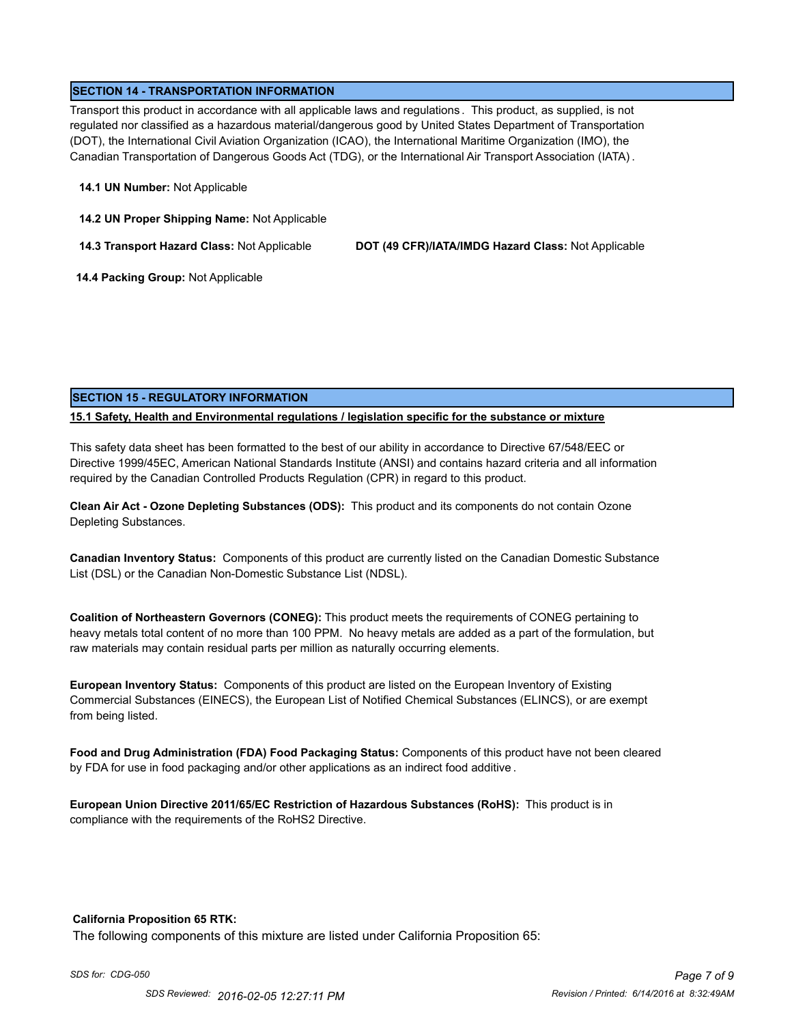## **SECTION 14 - TRANSPORTATION INFORMATION**

Transport this product in accordance with all applicable laws and regulations . This product, as supplied, is not regulated nor classified as a hazardous material/dangerous good by United States Department of Transportation (DOT), the International Civil Aviation Organization (ICAO), the International Maritime Organization (IMO), the Canadian Transportation of Dangerous Goods Act (TDG), or the International Air Transport Association (IATA) .

#### **14.1 UN Number:** Not Applicable

**14.2 UN Proper Shipping Name:** Not Applicable

**14.3 Transport Hazard Class:** Not Applicable **DOT (49 CFR)/IATA/IMDG Hazard Class:** Not Applicable

 **14.4 Packing Group:** Not Applicable

## **SECTION 15 - REGULATORY INFORMATION**

## **15.1 Safety, Health and Environmental regulations / legislation specific for the substance or mixture**

This safety data sheet has been formatted to the best of our ability in accordance to Directive 67/548/EEC or Directive 1999/45EC, American National Standards Institute (ANSI) and contains hazard criteria and all information required by the Canadian Controlled Products Regulation (CPR) in regard to this product.

**Clean Air Act - Ozone Depleting Substances (ODS):** This product and its components do not contain Ozone Depleting Substances.

**Canadian Inventory Status:** Components of this product are currently listed on the Canadian Domestic Substance List (DSL) or the Canadian Non-Domestic Substance List (NDSL).

**Coalition of Northeastern Governors (CONEG):** This product meets the requirements of CONEG pertaining to heavy metals total content of no more than 100 PPM. No heavy metals are added as a part of the formulation, but raw materials may contain residual parts per million as naturally occurring elements.

**European Inventory Status:** Components of this product are listed on the European Inventory of Existing Commercial Substances (EINECS), the European List of Notified Chemical Substances (ELINCS), or are exempt from being listed.

**Food and Drug Administration (FDA) Food Packaging Status:** Components of this product have not been cleared by FDA for use in food packaging and/or other applications as an indirect food additive .

**European Union Directive 2011/65/EC Restriction of Hazardous Substances (RoHS):** This product is in compliance with the requirements of the RoHS2 Directive.

#### **California Proposition 65 RTK:**

The following components of this mixture are listed under California Proposition 65: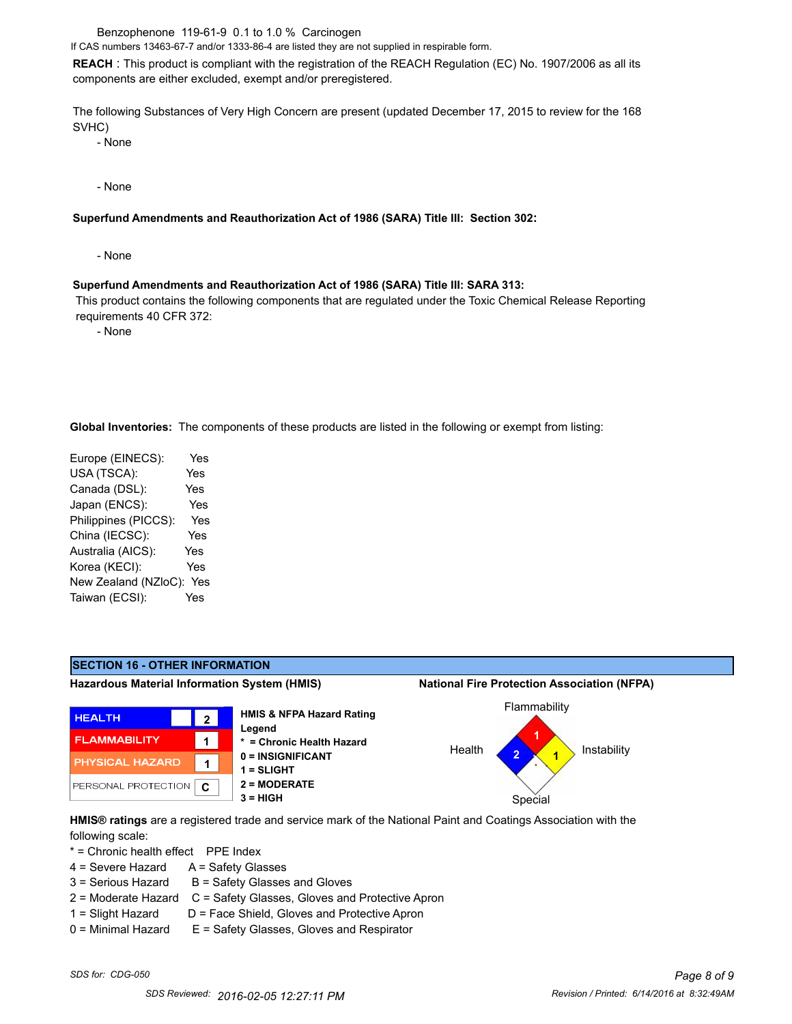Benzophenone 119-61-9 0.1 to 1.0 % Carcinogen

If CAS numbers 13463-67-7 and/or 1333-86-4 are listed they are not supplied in respirable form.

**REACH** : This product is compliant with the registration of the REACH Regulation (EC) No. 1907/2006 as all its components are either excluded, exempt and/or preregistered.

The following Substances of Very High Concern are present (updated December 17, 2015 to review for the 168 SVHC)

- None

- None

#### **Superfund Amendments and Reauthorization Act of 1986 (SARA) Title III: Section 302:**

- None

#### **Superfund Amendments and Reauthorization Act of 1986 (SARA) Title III: SARA 313:**

 This product contains the following components that are regulated under the Toxic Chemical Release Reporting requirements 40 CFR 372:

- None

**Global Inventories:** The components of these products are listed in the following or exempt from listing:

| Europe (EINECS):     | Yes        |
|----------------------|------------|
| USA (TSCA):          | Yes        |
| Canada (DSL):        | <b>Yes</b> |
| Japan (ENCS):        | Yes        |
| Philippines (PICCS): | Yes        |
| China (IECSC):       | Yes        |
| Australia (AICS):    | Yes        |
| Korea (KECI):        | Yes        |
| New Zealand (NZloC): | Yes        |
| Taiwan (ECSI):       | Yes        |
|                      |            |



**HMIS® ratings** are a registered trade and service mark of the National Paint and Coatings Association with the following scale:

\* = Chronic health effect PPE Index

- 4 = Severe Hazard A = Safety Glasses
- $3 =$  Serious Hazard  $B =$  Safety Glasses and Gloves
- 2 = Moderate Hazard C = Safety Glasses, Gloves and Protective Apron
- 
- 1 = Slight Hazard D = Face Shield, Gloves and Protective Apron 0 = Minimal Hazard E = Safety Glasses, Gloves and Respirator
-